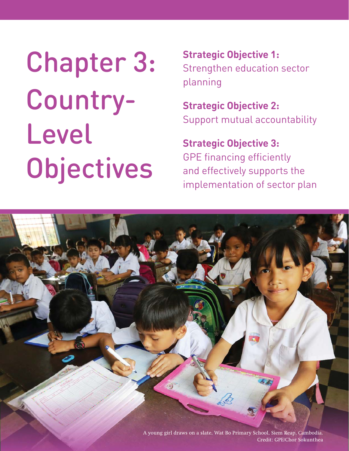Chapter 3: Country-Level **Objectives** 

**Strategic Objective 1:**  Strengthen education sector planning

**Strategic Objective 2:** Support mutual accountability

**Strategic Objective 3:** GPE financing efficiently and effectively supports the implementation of sector plan

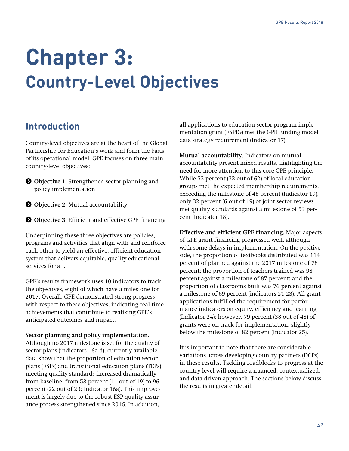# **Chapter 3: Country-Level Objectives**

# **Introduction**

Country-level objectives are at the heart of the Global Partnership for Education's work and form the basis of its operational model. GPE focuses on three main country-level objectives:

- **Objective 1:** Strengthened sector planning and policy implementation
- **O** Objective 2: Mutual accountability
- **Objective 3:** Efficient and effective GPE financing

Underpinning these three objectives are policies, programs and activities that align with and reinforce each other to yield an effective, efficient education system that delivers equitable, quality educational services for all.

GPE's results framework uses 10 indicators to track the objectives, eight of which have a milestone for 2017. Overall, GPE demonstrated strong progress with respect to these objectives, indicating real-time achievements that contribute to realizing GPE's anticipated outcomes and impact.

### **Sector planning and policy implementation.**

Although no 2017 milestone is set for the quality of sector plans (indicators 16a-d), currently available data show that the proportion of education sector plans (ESPs) and transitional education plans (TEPs) meeting quality standards increased dramatically from baseline, from 58 percent (11 out of 19) to 96 percent (22 out of 23; Indicator 16a). This improvement is largely due to the robust ESP quality assurance process strengthened since 2016. In addition,

all applications to education sector program implementation grant (ESPIG) met the GPE funding model data strategy requirement (Indicator 17).

**Mutual accountability**. Indicators on mutual accountability present mixed results, highlighting the need for more attention to this core GPE principle. While 53 percent (33 out of 62) of local education groups met the expected membership requirements, exceeding the milestone of 48 percent (Indicator 19), only 32 percent (6 out of 19) of joint sector reviews met quality standards against a milestone of 53 percent (Indicator 18).

**Effective and efficient GPE financing.** Major aspects of GPE grant financing progressed well, although with some delays in implementation. On the positive side, the proportion of textbooks distributed was 114 percent of planned against the 2017 milestone of 78 percent; the proportion of teachers trained was 98 percent against a milestone of 87 percent; and the proportion of classrooms built was 76 percent against a milestone of 69 percent (indicators 21-23). All grant applications fulfilled the requirement for performance indicators on equity, efficiency and learning (Indicator 24); however, 79 percent (38 out of 48) of grants were on track for implementation, slightly below the milestone of 82 percent (Indicator 25).

It is important to note that there are considerable variations across developing country partners (DCPs) in these results. Tackling roadblocks to progress at the country level will require a nuanced, contextualized, and data-driven approach. The sections below discuss the results in greater detail.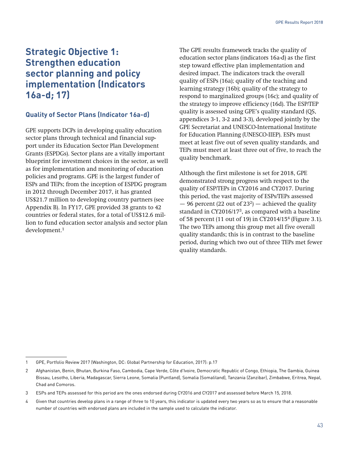# **Strategic Objective 1: Strengthen education sector planning and policy implementation (Indicators 16a-d; 17)**

# **Quality of Sector Plans (Indicator 16a-d)**

GPE supports DCPs in developing quality education sector plans through technical and financial support under its Education Sector Plan Development Grants (ESPDGs). Sector plans are a vitally important blueprint for investment choices in the sector, as well as for implementation and monitoring of education policies and programs. GPE is the largest funder of ESPs and TEPs; from the inception of ESPDG program in 2012 through December 2017, it has granted US\$21.7 million to developing country partners (see Appendix B). In FY17, GPE provided 38 grants to 42 countries or federal states, for a total of US\$12.6 million to fund education sector analysis and sector plan development.1

The GPE results framework tracks the quality of education sector plans (indicators 16a-d) as the first step toward effective plan implementation and desired impact. The indicators track the overall quality of ESPs (16a); quality of the teaching and learning strategy (16b); quality of the strategy to respond to marginalized groups (16c); and quality of the strategy to improve efficiency (16d). The ESP/TEP quality is assessed using GPE's quality standard (QS, appendices 3-1, 3-2 and 3-3), developed jointly by the GPE Secretariat and UNESCO-International Institute for Education Planning (UNESCO-IIEP). ESPs must meet at least five out of seven quality standards, and TEPs must meet at least three out of five, to reach the quality benchmark.

Although the first milestone is set for 2018, GPE demonstrated strong progress with respect to the quality of ESP/TEPs in CY2016 and CY2017. During this period, the vast majority of ESPs/TEPs assessed  $-96$  percent (22 out of 23<sup>2</sup>)  $-$  achieved the quality standard in CY2016/173, as compared with a baseline of 58 percent (11 out of 19) in CY2014/154 (Figure 3.1). The two TEPs among this group met all five overall quality standards; this is in contrast to the baseline period, during which two out of three TEPs met fewer quality standards.

<sup>1</sup> GPE, Portfolio Review 2017 (Washington, DC: Global Partnership for Education, 2017): p.17

<sup>2</sup> Afghanistan, Benin, Bhutan, Burkina Faso, Cambodia, Cape Verde, Côte d'Ivoire, Democratic Republic of Congo, Ethiopia, The Gambia, Guinea Bissau, Lesotho, Liberia, Madagascar, Sierra Leone, Somalia (Puntland), Somalia (Somaliland), Tanzania (Zanzibar), Zimbabwe, Eritrea, Nepal, Chad and Comoros.

<sup>3</sup> ESPs and TEPs assessed for this period are the ones endorsed during CY2016 and CY2017 and assessed before March 15, 2018.

<sup>4</sup> Given that countries develop plans in a range of three to 10 years, this indicator is updated every two years so as to ensure that a reasonable number of countries with endorsed plans are included in the sample used to calculate the indicator.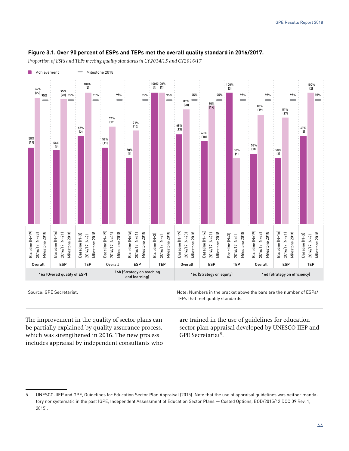#### **Figure 3.1. Over 90 percent of ESPs and TEPs met the overall quality standard in 2016/2017.**

*Proportion of ESPs and TEPs meeting quality standards in CY2014/15 and CY2016/17*



Source: GPE Secretariat. The secretariat control of the secretarism in the bracket above the bars are the number of ESPs/ TEPs that met quality standards.

The improvement in the quality of sector plans can be partially explained by quality assurance process, which was strengthened in 2016. The new process includes appraisal by independent consultants who are trained in the use of guidelines for education sector plan appraisal developed by UNESCO-IIEP and GPE Secretariat<sup>5</sup>.

<sup>5</sup> UNESCO-IIEP and GPE, Guidelines for Education Sector Plan Appraisal (2015). Note that the use of appraisal guidelines was neither mandatory nor systematic in the past (GPE, Independent Assessment of Education Sector Plans — Costed Options, BOD/2015/12 DOC 09 Rev. 1, 2015).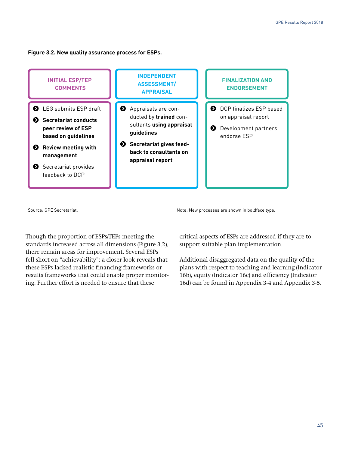**Figure 3.2. New quality assurance process for ESPs.** 



Though the proportion of ESPs/TEPs meeting the standards increased across all dimensions (Figure 3.2), there remain areas for improvement. Several ESPs fell short on "achievability"; a closer look reveals that these ESPs lacked realistic financing frameworks or results frameworks that could enable proper monitoring. Further effort is needed to ensure that these

critical aspects of ESPs are addressed if they are to support suitable plan implementation.

Additional disaggregated data on the quality of the plans with respect to teaching and learning (Indicator 16b), equity (Indicator 16c) and efficiency (Indicator 16d) can be found in Appendix 3-4 and Appendix 3-5.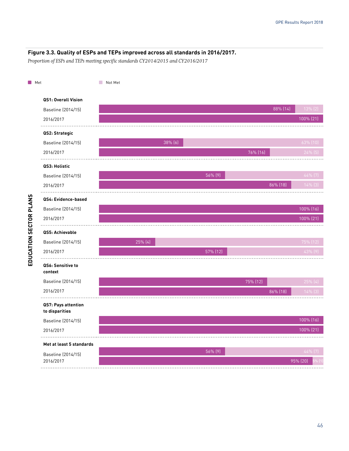#### **Figure 3.3. Quality of ESPs and TEPs improved across all standards in 2016/2017.**

*Proportion of ESPs and TEPs meeting specific standards CY2014/2015 and CY2016/2017*

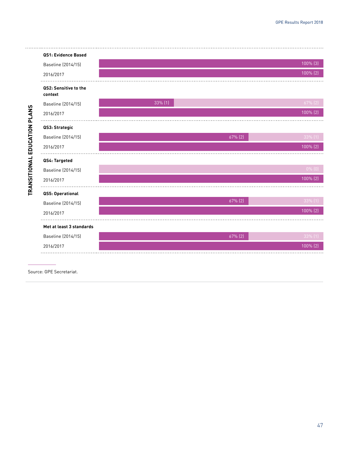

Source: GPE Secretariat.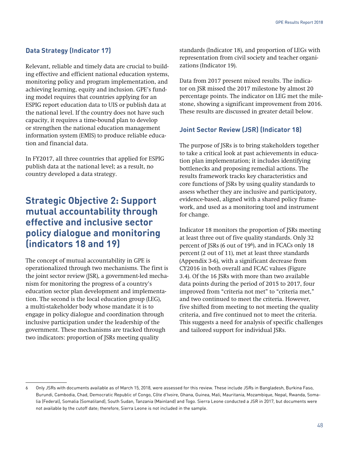## **Data Strategy (Indicator 17)**

Relevant, reliable and timely data are crucial to building effective and efficient national education systems, monitoring policy and program implementation, and achieving learning, equity and inclusion. GPE's funding model requires that countries applying for an ESPIG report education data to UIS or publish data at the national level. If the country does not have such capacity, it requires a time-bound plan to develop or strengthen the national education management information system (EMIS) to produce reliable education and financial data.

In FY2017, all three countries that applied for ESPIG publish data at the national level; as a result, no country developed a data strategy.

# **Strategic Objective 2: Support mutual accountability through effective and inclusive sector policy dialogue and monitoring (indicators 18 and 19)**

The concept of mutual accountability in GPE is operationalized through two mechanisms. The first is the joint sector review (JSR), a government-led mechanism for monitoring the progress of a country's education sector plan development and implementation. The second is the local education group (LEG), a multi-stakeholder body whose mandate it is to engage in policy dialogue and coordination through inclusive participation under the leadership of the government. These mechanisms are tracked through two indicators: proportion of JSRs meeting quality

standards (Indicator 18), and proportion of LEGs with representation from civil society and teacher organizations (Indicator 19).

Data from 2017 present mixed results. The indicator on JSR missed the 2017 milestone by almost 20 percentage points. The indicator on LEG met the milestone, showing a significant improvement from 2016. These results are discussed in greater detail below.

## **Joint Sector Review (JSR) (Indicator 18)**

The purpose of JSRs is to bring stakeholders together to take a critical look at past achievements in education plan implementation; it includes identifying bottlenecks and proposing remedial actions. The results framework tracks key characteristics and core functions of JSRs by using quality standards to assess whether they are inclusive and participatory, evidence-based, aligned with a shared policy framework, and used as a monitoring tool and instrument for change.

Indicator 18 monitors the proportion of JSRs meeting at least three out of five quality standards. Only 32 percent of JSRs (6 out of 196), and in FCACs only 18 percent (2 out of 11), met at least three standards (Appendix 3-6), with a significant decrease from CY2016 in both overall and FCAC values (Figure 3.4). Of the 16 JSRs with more than two available data points during the period of 2015 to 2017, four improved from "criteria not met" to "criteria met," and two continued to meet the criteria. However, five shifted from meeting to not meeting the quality criteria, and five continued not to meet the criteria. This suggests a need for analysis of specific challenges and tailored support for individual JSRs.

<sup>6</sup> Only JSRs with documents available as of March 15, 2018, were assessed for this review. These include JSRs in Bangladesh, Burkina Faso, Burundi, Cambodia, Chad, Democratic Republic of Congo, Côte d'Ivoire, Ghana, Guinea, Mali, Mauritania, Mozambique, Nepal, Rwanda, Somalia (Federal), Somalia (Somaliland), South Sudan, Tanzania (Mainland) and Togo. Sierra Leone conducted a JSR in 2017, but documents were not available by the cutoff date; therefore, Sierra Leone is not included in the sample.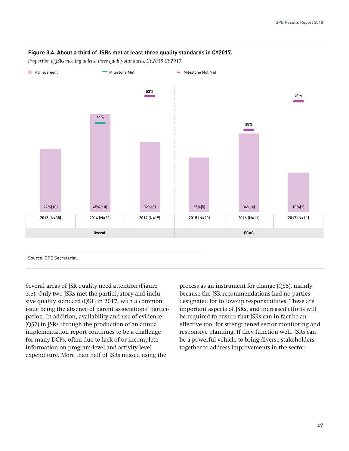#### **Figure 3.4. About a third of JSRs met at least three quality standards in CY2017.**

*Proportion of JSRs meeting at least three quality standards, CY2015-CY2017*



Several areas of JSR quality need attention (Figure 3.5). Only two JSRs met the participatory and inclusive quality standard (QS1) in 2017, with a common issue being the absence of parent associations' participation. In addition, availability and use of evidence (QS2) in JSRs through the production of an annual implementation report continues to be a challenge for many DCPs, often due to lack of or incomplete information on program-level and activity-level expenditure. More than half of JSRs missed using the

process as an instrument for change (QS5), mainly because the JSR recommendations had no parties designated for follow-up responsibilities. These are important aspects of JSRs, and increased efforts will be required to ensure that JSRs can in fact be an effective tool for strengthened sector monitoring and responsive planning. If they function well, JSRs can be a powerful vehicle to bring diverse stakeholders together to address improvements in the sector.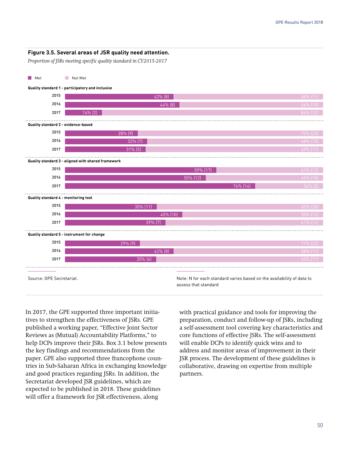#### **Figure 3.5. Several areas of JSR quality need attention.**

*Proportion of JSRs meeting specific quality standard in CY2015-2017*



In 2017, the GPE supported three important initiatives to strengthen the effectiveness of JSRs. GPE published a working paper, "Effective Joint Sector Reviews as (Mutual) Accountability Platforms," to help DCPs improve their JSRs. Box 3.1 below presents the key findings and recommendations from the paper. GPE also supported three francophone countries in Sub-Saharan Africa in exchanging knowledge and good practices regarding JSRs. In addition, the Secretariat developed JSR guidelines, which are expected to be published in 2018. These guidelines will offer a framework for JSR effectiveness, along

with practical guidance and tools for improving the preparation, conduct and follow-up of JSRs, including a self-assessment tool covering key characteristics and core functions of effective JSRs. The self-assessment will enable DCPs to identify quick wins and to address and monitor areas of improvement in their JSR process. The development of these guidelines is collaborative, drawing on expertise from multiple partners.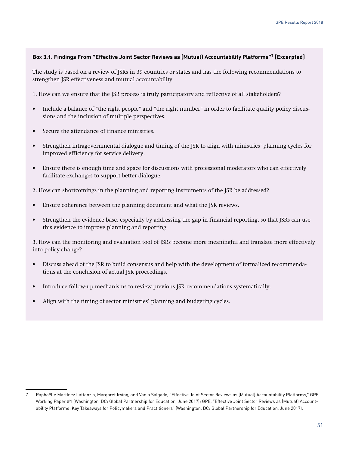#### **Box 3.1. Findings From "Effective Joint Sector Reviews as (Mutual) Accountability Platforms"7 [Excerpted]**

The study is based on a review of JSRs in 39 countries or states and has the following recommendations to strengthen JSR effectiveness and mutual accountability.

1. How can we ensure that the JSR process is truly participatory and reflective of all stakeholders?

- Include a balance of "the right people" and "the right number" in order to facilitate quality policy discussions and the inclusion of multiple perspectives.
- Secure the attendance of finance ministries.
- Strengthen intragovernmental dialogue and timing of the JSR to align with ministries' planning cycles for improved efficiency for service delivery.
- Ensure there is enough time and space for discussions with professional moderators who can effectively facilitate exchanges to support better dialogue.
- 2. How can shortcomings in the planning and reporting instruments of the JSR be addressed?
- Ensure coherence between the planning document and what the JSR reviews.
- Strengthen the evidence base, especially by addressing the gap in financial reporting, so that JSRs can use this evidence to improve planning and reporting.

3. How can the monitoring and evaluation tool of JSRs become more meaningful and translate more effectively into policy change?

- Discuss ahead of the JSR to build consensus and help with the development of formalized recommendations at the conclusion of actual JSR proceedings.
- Introduce follow-up mechanisms to review previous JSR recommendations systematically.
- Align with the timing of sector ministries' planning and budgeting cycles.

<sup>7</sup> Raphaëlle Martínez Lattanzio, Margaret Irving, and Vania Salgado, "Effective Joint Sector Reviews as (Mutual) Accountability Platforms," GPE Working Paper #1 (Washington, DC: Global Partnership for Education, June 2017); GPE, "Effective Joint Sector Reviews as (Mutual) Accountability Platforms: Key Takeaways for Policymakers and Practitioners" (Washington, DC: Global Partnership for Education, June 2017).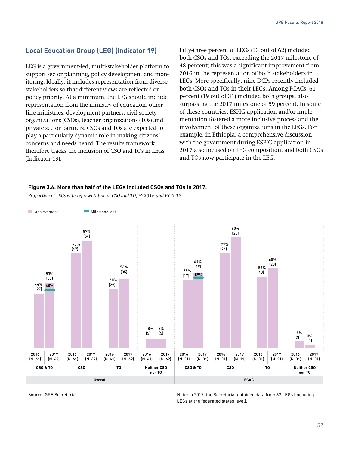## **Local Education Group (LEG) (Indicator 19)**

LEG is a government-led, multi-stakeholder platform to support sector planning, policy development and monitoring. Ideally, it includes representation from diverse stakeholders so that different views are reflected on policy priority. At a minimum, the LEG should include representation from the ministry of education, other line ministries, development partners, civil society organizations (CSOs), teacher organizations (TOs) and private sector partners. CSOs and TOs are expected to play a particularly dynamic role in making citizens' concerns and needs heard. The results framework therefore tracks the inclusion of CSO and TOs in LEGs (Indicator 19).

Fifty-three percent of LEGs (33 out of 62) included both CSOs and TOs, exceeding the 2017 milestone of 48 percent; this was a significant improvement from 2016 in the representation of both stakeholders in LEGs. More specifically, nine DCPs recently included both CSOs and TOs in their LEGs. Among FCACs, 61 percent (19 out of 31) included both groups, also surpassing the 2017 milestone of 59 percent. In some of these countries, ESPIG application and/or implementation fostered a more inclusive process and the involvement of these organizations in the LEGs. For example, in Ethiopia, a comprehensive discussion with the government during ESPIG application in 2017 also focused on LEG composition, and both CSOs and TOs now participate in the LEG.

#### **Figure 3.6. More than half of the LEGs included CSOs and TOs in 2017.**

*Proportion of LEGs with representation of CSO and TO, FY2016 and FY2017*



Source: GPE Secretariat. Note: In 2017, the Secretariat obtained data from 62 LEGs (including LEGs at the federated states level).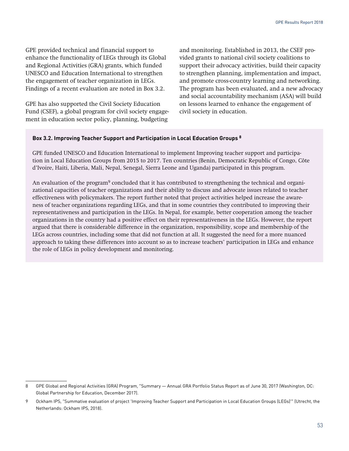GPE provided technical and financial support to enhance the functionality of LEGs through its Global and Regional Activities (GRA) grants, which funded UNESCO and Education International to strengthen the engagement of teacher organization in LEGs. Findings of a recent evaluation are noted in Box 3.2.

GPE has also supported the Civil Society Education Fund (CSEF), a global program for civil society engagement in education sector policy, planning, budgeting

and monitoring. Established in 2013, the CSEF provided grants to national civil society coalitions to support their advocacy activities, build their capacity to strengthen planning, implementation and impact, and promote cross-country learning and networking. The program has been evaluated, and a new advocacy and social accountability mechanism (ASA) will build on lessons learned to enhance the engagement of civil society in education.

#### **Box 3.2. Improving Teacher Support and Participation in Local Education Groups 8**

GPE funded UNESCO and Education International to implement Improving teacher support and participation in Local Education Groups from 2015 to 2017. Ten countries (Benin, Democratic Republic of Congo, Côte d'Ivoire, Haiti, Liberia, Mali, Nepal, Senegal, Sierra Leone and Uganda) participated in this program.

An evaluation of the program<sup>9</sup> concluded that it has contributed to strengthening the technical and organizational capacities of teacher organizations and their ability to discuss and advocate issues related to teacher effectiveness with policymakers. The report further noted that project activities helped increase the awareness of teacher organizations regarding LEGs, and that in some countries they contributed to improving their representativeness and participation in the LEGs. In Nepal, for example, better cooperation among the teacher organizations in the country had a positive effect on their representativeness in the LEGs. However, the report argued that there is considerable difference in the organization, responsibility, scope and membership of the LEGs across countries, including some that did not function at all. It suggested the need for a more nuanced approach to taking these differences into account so as to increase teachers' participation in LEGs and enhance the role of LEGs in policy development and monitoring.

<sup>8</sup> GPE Global and Regional Activities (GRA) Program, "Summary — Annual GRA Portfolio Status Report as of June 30, 2017 (Washington, DC: Global Partnership for Education, December 2017).

<sup>9</sup> Ockham IPS, "Summative evaluation of project 'Improving Teacher Support and Participation in Local Education Groups (LEGs)'" (Utrecht, the Netherlands: Ockham IPS, 2018).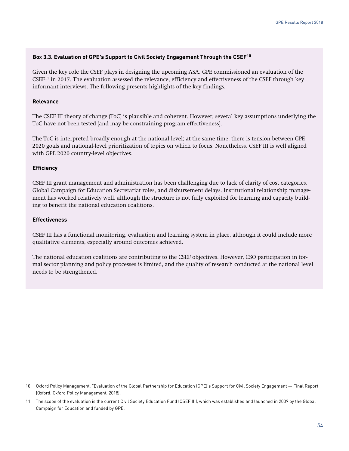#### **Box 3.3. Evaluation of GPE's Support to Civil Society Engagement Through the CSEF10**

Given the key role the CSEF plays in designing the upcoming ASA, GPE commissioned an evaluation of the  $CSEF<sup>11</sup>$  in 2017. The evaluation assessed the relevance, efficiency and effectiveness of the CSEF through key informant interviews. The following presents highlights of the key findings.

#### **Relevance**

The CSEF III theory of change (ToC) is plausible and coherent. However, several key assumptions underlying the ToC have not been tested (and may be constraining program effectiveness).

The ToC is interpreted broadly enough at the national level; at the same time, there is tension between GPE 2020 goals and national-level prioritization of topics on which to focus. Nonetheless, CSEF III is well aligned with GPE 2020 country-level objectives.

#### **Efficiency**

CSEF III grant management and administration has been challenging due to lack of clarity of cost categories, Global Campaign for Education Secretariat roles, and disbursement delays. Institutional relationship management has worked relatively well, although the structure is not fully exploited for learning and capacity building to benefit the national education coalitions.

#### **Effectiveness**

CSEF III has a functional monitoring, evaluation and learning system in place, although it could include more qualitative elements, especially around outcomes achieved.

The national education coalitions are contributing to the CSEF objectives. However, CSO participation in formal sector planning and policy processes is limited, and the quality of research conducted at the national level needs to be strengthened.

<sup>10</sup> Oxford Policy Management, "Evaluation of the Global Partnership for Education (GPE)'s Support for Civil Society Engagement — Final Report (Oxford: Oxford Policy Management, 2018).

<sup>11</sup> The scope of the evaluation is the current Civil Society Education Fund (CSEF III), which was established and launched in 2009 by the Global Campaign for Education and funded by GPE.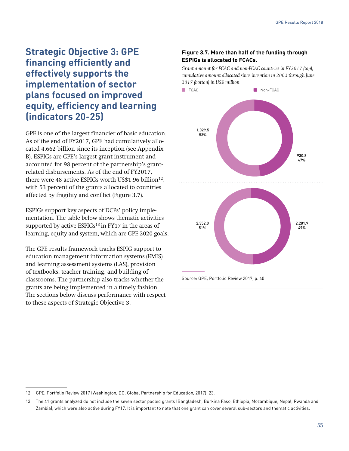# **Strategic Objective 3: GPE financing efficiently and effectively supports the implementation of sector plans focused on improved equity, efficiency and learning (indicators 20-25)**

GPE is one of the largest financier of basic education. As of the end of FY2017, GPE had cumulatively allocated 4.662 billion since its inception (see Appendix B). ESPIGs are GPE's largest grant instrument and accounted for 98 percent of the partnership's grantrelated disbursements. As of the end of FY2017, there were 48 active ESPIGs worth US\$1.96 billion<sup>12</sup>. with 53 percent of the grants allocated to countries affected by fragility and conflict (Figure 3.7).

ESPIGs support key aspects of DCPs' policy implementation. The table below shows thematic activities supported by active  $ESPIGs^{13}$  in FY17 in the areas of learning, equity and system, which are GPE 2020 goals.

The GPE results framework tracks ESPIG support to education management information systems (EMIS) and learning assessment systems (LAS), provision of textbooks, teacher training, and building of classrooms. The partnership also tracks whether the grants are being implemented in a timely fashion. The sections below discuss performance with respect to these aspects of Strategic Objective 3.

#### **Figure 3.7. More than half of the funding through ESPIGs is allocated to FCACs.**

*Grant amount for FCAC and non-FCAC countries in FY2017 (top), cumulative amount allocated since inception in 2002 through June 2017 (botton) in US\$ million*



Source: GPE, Portfolio Review 2017, p. 40

<sup>12</sup> GPE, Portfolio Review 2017 (Washington, DC: Global Partnership for Education, 2017): 23.

<sup>13</sup> The 41 grants analyzed do not include the seven sector pooled grants (Bangladesh, Burkina Faso, Ethiopia, Mozambique, Nepal, Rwanda and Zambia), which were also active during FY17. It is important to note that one grant can cover several sub-sectors and thematic activities.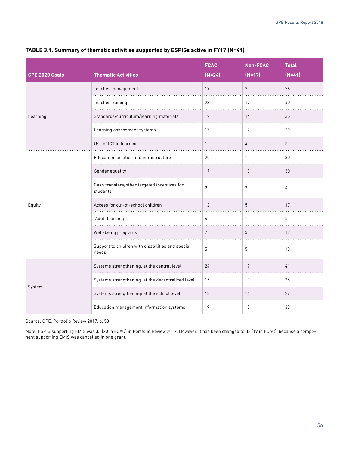| <b>GPE 2020 Goals</b> | <b>Thematic Activities</b>                                 | <b>FCAC</b><br>$(N=24)$ | Non-FCAC<br>$(N=17)$ | <b>Total</b><br>$(N=41)$ |
|-----------------------|------------------------------------------------------------|-------------------------|----------------------|--------------------------|
|                       | Teacher management                                         | 19                      | $7\overline{ }$      | 26                       |
|                       | Teacher training                                           | 23                      | 17                   | $40\,$                   |
| Learning              | Standards/curriculum/learning materials                    | 19                      | 16                   | 35                       |
|                       | Learning assessment systems                                | 17                      | 12                   | 29                       |
|                       | Use of ICT in learning                                     | $\mathbf{1}$            | $\overline{4}$       | $5\phantom{.0}$          |
|                       | Education facilities and infrastructure                    | 20                      | 10                   | 30                       |
|                       | Gender equality                                            | 17                      | 13                   | 30                       |
|                       | Cash transfers/other targeted incentives for<br>students   | $\overline{2}$          | $\overline{2}$       | $\overline{4}$           |
| Equity                | Access for out-of-school children                          | 12                      | 5                    | 17                       |
|                       | Adult learning                                             | $\overline{4}$          | $\mathbf{1}$         | 5                        |
|                       | Well-being programs                                        | $7\phantom{.}$          | 5                    | 12                       |
|                       | Support to children with disabilities and special<br>needs | 5                       | 5                    | 10                       |
|                       | Systems strengthening: at the central level                | 24                      | 17                   | 41                       |
|                       | Systems strengthening: at the decentralized level          | 15                      | 10                   | 25                       |
| System                | Systems strengthening: at the school level                 | 18                      | 11                   | 29                       |
|                       | Education management information systems                   | 19                      | 13                   | 32                       |

#### **TABLE 3.1. Summary of thematic activities supported by ESPIGs active in FY17 (N=41)**

Source: GPE, Portfolio Review 2017, p. 53

Note: ESPIG supporting EMIS was 33 (20 in FCAC) in Portfolio Review 2017. However, it has been changed to 32 (19 in FCAC), because a component supporting EMIS was cancelled in one grant.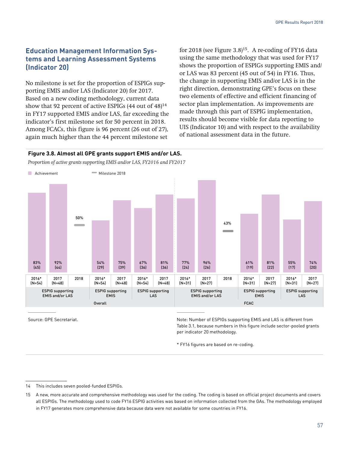# **Education Management Information Systems and Learning Assessment Systems (Indicator 20)**

No milestone is set for the proportion of ESPIGs supporting EMIS and/or LAS (Indicator 20) for 2017. Based on a new coding methodology, current data show that 92 percent of active ESPIGs  $(44 \text{ out of } 48)^{14}$ in FY17 supported EMIS and/or LAS, far exceeding the indicator's first milestone set for 50 percent in 2018. Among FCACs, this figure is 96 percent (26 out of 27), again much higher than the 44 percent milestone set

for 2018 (see Figure 3.8)15. A re-coding of FY16 data using the same methodology that was used for FY17 shows the proportion of ESPIGs supporting EMIS and/ or LAS was 83 percent (45 out of 54) in FY16. Thus, the change in supporting EMIS and/or LAS is in the right direction, demonstrating GPE's focus on these two elements of effective and efficient financing of sector plan implementation. As improvements are made through this part of ESPIG implementation, results should become visible for data reporting to UIS (Indicator 10) and with respect to the availability of national assessment data in the future.

#### **Figure 3.8. Almost all GPE grants support EMIS and/or LAS.**

*Proportion of active grants supporting EMIS and/or LAS, FY2016 and FY2017* 



Source: GPE Secretariat. The secretariat of the secretarist of the secretarist of the secretarist of the secretarist of the secretarist of the secretarist of the secretarist of the secretarist of the secretarist of the sec Table 3.1, because numbers in this figure include sector-pooled grants per indicator 20 methodology.

\* FY16 figures are based on re-coding.

<sup>14</sup> This includes seven pooled-funded ESPIGs.

<sup>15</sup> A new, more accurate and comprehensive methodology was used for the coding. The coding is based on official project documents and covers all ESPIGs. The methodology used to code FY16 ESPIG activities was based on information collected from the GAs. The methodology employed in FY17 generates more comprehensive data because data were not available for some countries in FY16.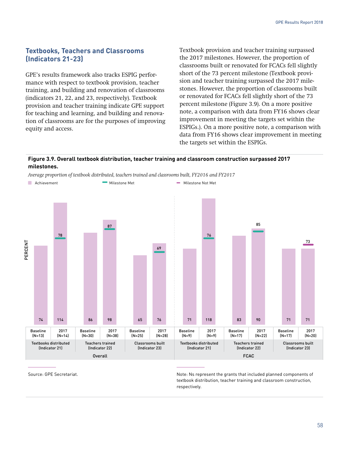# **Textbooks, Teachers and Classrooms (Indicators 21-23)**

GPE's results framework also tracks ESPIG performance with respect to textbook provision, teacher training, and building and renovation of classrooms (indicators 21, 22, and 23, respectively). Textbook provision and teacher training indicate GPE support for teaching and learning, and building and renovation of classrooms are for the purposes of improving equity and access.

Textbook provision and teacher training surpassed the 2017 milestones. However, the proportion of classrooms built or renovated for FCACs fell slightly short of the 73 percent milestone (Textbook provision and teacher training surpassed the 2017 milestones. However, the proportion of classrooms built or renovated for FCACs fell slightly short of the 73 percent milestone (Figure 3.9). On a more positive note, a comparison with data from FY16 shows clear improvement in meeting the targets set within the ESPIGs.). On a more positive note, a comparison with data from FY16 shows clear improvement in meeting the targets set within the ESPIGs.

#### **Figure 3.9. Overall textbook distribution, teacher training and classroom construction surpassed 2017 milestones.**

*Average proportion of textbook distributed, teachers trained and classrooms built, FY2016 and FY2017* 



Source: GPE Secretariat. The secretariat of the secretaristic secretaristic secretaristic secretaristic secretaristic secretaristic secretaristic secretaristic secretaristic secretaristic secretaristic secretaristic secret textbook distribution, teacher training and classroom construction, respectively.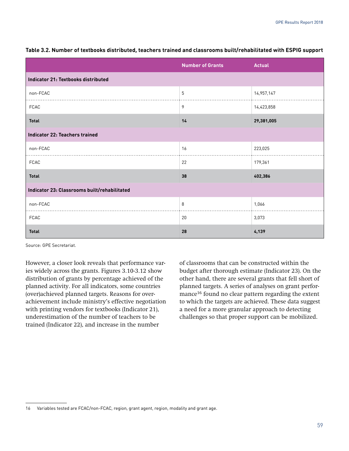|                                              | <b>Number of Grants</b> | <b>Actual</b> |  |  |
|----------------------------------------------|-------------------------|---------------|--|--|
| Indicator 21: Textbooks distributed          |                         |               |  |  |
| non-FCAC                                     | 5                       | 14,957,147    |  |  |
| <b>FCAC</b>                                  | 9                       | 14,423,858    |  |  |
| <b>Total</b>                                 | 14                      | 29,381,005    |  |  |
| <b>Indicator 22: Teachers trained</b>        |                         |               |  |  |
| non-FCAC                                     | 16                      | 223,025       |  |  |
| <b>FCAC</b>                                  | 22                      | 179,361       |  |  |
| <b>Total</b>                                 | 38                      | 402,386       |  |  |
| Indicator 23: Classrooms built/rehabilitated |                         |               |  |  |
| non-FCAC                                     | 8                       | 1,066         |  |  |
| <b>FCAC</b>                                  | 20                      | 3,073         |  |  |
| <b>Total</b>                                 | 28                      | 4,139         |  |  |

**Table 3.2. Number of textbooks distributed, teachers trained and classrooms built/rehabilitated with ESPIG support**

Source: GPE Secretariat.

However, a closer look reveals that performance varies widely across the grants. Figures 3.10-3.12 show distribution of grants by percentage achieved of the planned activity. For all indicators, some countries (over)achieved planned targets. Reasons for overachievement include ministry's effective negotiation with printing vendors for textbooks (Indicator 21), underestimation of the number of teachers to be trained (Indicator 22), and increase in the number

of classrooms that can be constructed within the budget after thorough estimate (Indicator 23). On the other hand, there are several grants that fell short of planned targets. A series of analyses on grant performance<sup>16</sup> found no clear pattern regarding the extent to which the targets are achieved. These data suggest a need for a more granular approach to detecting challenges so that proper support can be mobilized.

<sup>16</sup> Variables tested are FCAC/non-FCAC, region, grant agent, region, modality and grant age.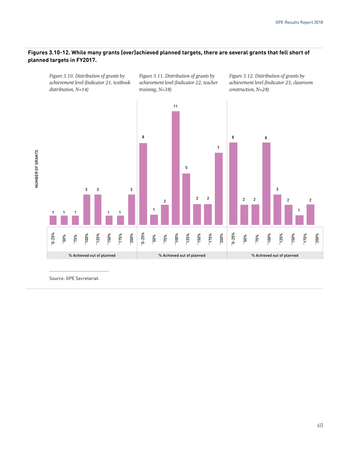#### **Figures 3.10-12. While many grants (over)achieved planned targets, there are several grants that fell short of planned targets in FY2017.**

*Figure 3.10. Distribution of grants by achievement level (Indicator 21, textbook distribution, N=14)*

*Figure 3.11. Distribution of grants by achievement level (Indicator 22, teacher training, N=38)*

*Figure 3.12. Distribution of grants by achievement level (Indicator 23, classroom construction, N=28)*



Source: GPE Secretariat.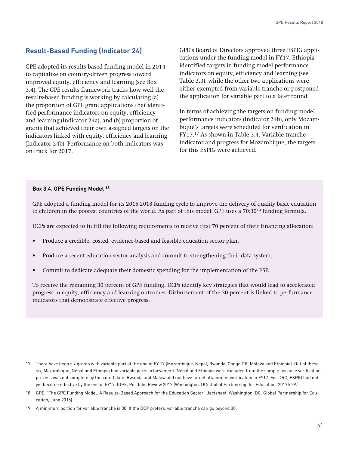# **Result-Based Funding (Indicator 24)**

GPE adopted its results-based funding model in 2014 to capitalize on country-driven progress toward improved equity, efficiency and learning (see Box 3.4). The GPE results framework tracks how well the results-based funding is working by calculating (a) the proportion of GPE grant applications that identified performance indicators on equity, efficiency and learning (Indicator 24a), and (b) proportion of grants that achieved their own assigned targets on the indicators linked with equity, efficiency and learning (Indicator 24b). Performance on both indicators was on track for 2017.

GPE's Board of Directors approved three ESPIG applications under the funding model in FY17. Ethiopia identified targets in funding model performance indicators on equity, efficiency and learning (see Table 3.3), while the other two applications were either exempted from variable tranche or postponed the application for variable part to a later round.

In terms of achieving the targets on funding model performance indicators (Indicator 24b), only Mozambique's targets were scheduled for verification in FY17.17 As shown in Table 3.4. Variable tranche indicator and progress for Mozambique, the targets for this ESPIG were achieved.

#### **Box 3.4. GPE Funding Model 18**

GPE adopted a funding model for its 2015-2018 funding cycle to improve the delivery of quality basic education to children in the poorest countries of the world. As part of this model, GPE uses a 70:30<sup>19</sup> funding formula.

DCPs are expected to fulfill the following requirements to receive first 70 percent of their financing allocation:

- Produce a credible, costed, evidence-based and feasible education sector plan.
- Produce a recent education sector analysis and commit to strengthening their data system.
- Commit to dedicate adequate their domestic spending for the implementation of the ESP.

To receive the remaining 30 percent of GPE funding, DCPs identify key strategies that would lead to accelerated progress in equity, efficiency and learning outcomes. Disbursement of the 30 percent is linked to performance indicators that demonstrate effective progress.

<sup>17</sup> There have been six grants with variable part at the end of FY 17 (Mozambique, Nepal, Rwanda, Congo DR, Malawi and Ethiopia). Out of these six, Mozambique, Nepal and Ethiopia had variable parts achievement. Nepal and Ethiopia were excluded from the sample because verification process was not complete by the cutoff date. Rwanda and Malawi did not have target attainment verification in FY17. For DRC, ESPIG had not yet become effective by the end of FY17. (GPE, Portfolio Review 2017 (Washington, DC: Global Partnership for Education, 2017): 29.)

<sup>18</sup> GPE, "The GPE Funding Model: A Results-Based Approach for the Education Sector" (factsheet, Washington, DC: Global Partnership for Education, June 2015).

<sup>19</sup> A minimum portion for variable tranche is 30. If the DCP prefers, variable tranche can go beyond 30.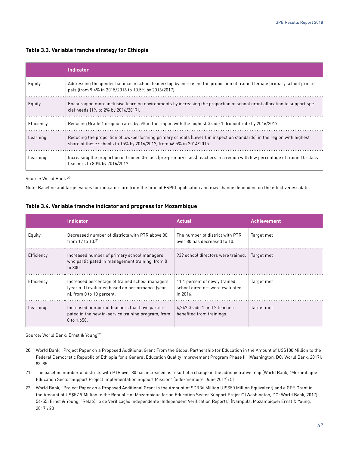#### **Table 3.3. Variable tranche strategy for Ethiopia**

|            | <b>Indicator</b>                                                                                                                                                                               |
|------------|------------------------------------------------------------------------------------------------------------------------------------------------------------------------------------------------|
| Equity     | Addressing the gender balance in school leadership by increasing the proportion of trained female primary school princi-<br>pals (from 9.4% in 2015/2016 to 10.5% by 2016/2017).               |
| Equity     | Encouraging more inclusive learning environments by increasing the proportion of school grant allocation to support spe-<br>cial needs (1% to 2% by 2016/2017).                                |
| Efficiency | Reducing Grade 1 dropout rates by 5% in the region with the highest Grade 1 dropout rate by 2016/2017.                                                                                         |
| Learning   | Reducing the proportion of low-performing primary schools (Level 1 in inspection standards) in the region with highest<br>share of these schools to 15% by 2016/2017, from 46.5% in 2014/2015. |
| Learning   | Increasing the proportion of trained 0-class (pre-primary class) teachers in a region with low percentage of trained 0-class<br>teachers to 80% by 2016/2017.                                  |

Source: World Bank 20

Note: Baseline and target values for indicators are from the time of ESPIG application and may change depending on the effectiveness date.

#### **Table 3.4. Variable tranche indicator and progress for Mozambique**

|            | <b>Indicator</b>                                                                                                                | <b>Actual</b>                                                                | <b>Achievement</b> |
|------------|---------------------------------------------------------------------------------------------------------------------------------|------------------------------------------------------------------------------|--------------------|
| Equity     | Decreased number of districts with PTR above 80,<br>from 17 to $10^{21}$                                                        | The number of district with PTR<br>over 80 has decreased to 10.              | Target met         |
| Efficiency | Increased number of primary school managers<br>who participated in management training, from 0<br>to 800.                       | 939 school directors were trained.                                           | Target met         |
| Efficiency | Increased percentage of trained school managers<br>(year n-1) evaluated based on performance (year<br>n), from 0 to 10 percent. | 11.1 percent of newly trained<br>school directors were evaluated<br>in 2016. | Target met         |
| Learning   | Increased number of teachers that have partici-<br>pated in the new in-service training program, from<br>0 to $1,650$ .         | 4,247 Grade 1 and 2 teachers<br>benefited from trainings.                    | Target met         |

Source: World Bank; Ernst & Young22

21 The baseline number of districts with PTR over 80 has increased as result of a change in the administrative map (World Bank, "Mozambique Education Sector Support Project Implementation Support Mission" (aide-memoire, June 2017): 5)

22 World Bank, "Project Paper on a Proposed Additional Grant in the Amount of SDR36 Million (US\$50 Million Equivalent) and a GPE Grant in the Amount of US\$57.9 Million to the Republic of Mozambique for an Education Sector Support Project" (Washington, DC: World Bank, 2017): 54-55; Ernst & Young, "Relatório de Verificação Independente (Independent Verification Report)," (Nampula, Mozambique: Ernst & Young, 2017): 20

<sup>20</sup> World Bank, "Project Paper on a Proposed Additional Grant From the Global Partnership for Education in the Amount of US\$100 Million to the Federal Democratic Republic of Ethiopia for a General Education Quality Improvement Program Phase II" (Washington, DC: World Bank, 2017): 83-85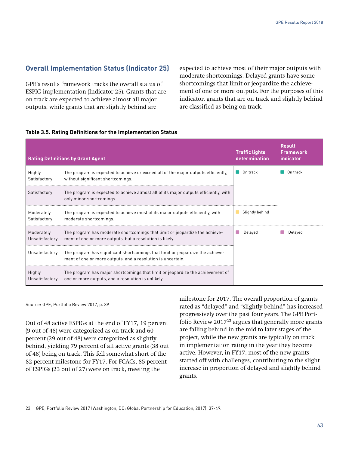## **Overall Implementation Status (Indicator 25)**

GPE's results framework tracks the overall status of ESPIG implementation (Indicator 25). Grants that are on track are expected to achieve almost all major outputs, while grants that are slightly behind are

expected to achieve most of their major outputs with moderate shortcomings. Delayed grants have some shortcomings that limit or jeopardize the achievement of one or more outputs. For the purposes of this indicator, grants that are on track and slightly behind are classified as being on track.

| <b>Rating Definitions by Grant Agent</b> |                                                                                                                                               | <b>Traffic lights</b><br>determination | Result<br><b>Framework</b><br>indicator |
|------------------------------------------|-----------------------------------------------------------------------------------------------------------------------------------------------|----------------------------------------|-----------------------------------------|
| Highly<br>Satisfactory                   | The program is expected to achieve or exceed all of the major outputs efficiently,<br>without significant shortcomings.                       | On track                               | On track                                |
| Satisfactory                             | The program is expected to achieve almost all of its major outputs efficiently, with<br>only minor shortcomings.                              |                                        |                                         |
| Moderately<br>Satisfactory               | The program is expected to achieve most of its major outputs efficiently, with<br>moderate shortcomings.                                      | Slightly behind                        |                                         |
| Moderately<br>Unsatisfactory             | The program has moderate shortcomings that limit or jeopardize the achieve-<br>ment of one or more outputs, but a resolution is likely.       | Delayed                                | Delaved                                 |
| Unsatisfactory                           | The program has significant shortcomings that limit or jeopardize the achieve-<br>ment of one or more outputs, and a resolution is uncertain. |                                        |                                         |
| Highly<br>Unsatisfactory                 | The program has major shortcomings that limit or jeopardize the achievement of<br>one or more outputs, and a resolution is unlikely.          |                                        |                                         |

#### **Table 3.5. Rating Definitions for the Implementation Status**

Source: GPE, Portfolio Review 2017, p. 39

Out of 48 active ESPIGs at the end of FY17, 19 percent (9 out of 48) were categorized as on track and 60 percent (29 out of 48) were categorized as slightly behind, yielding 79 percent of all active grants (38 out of 48) being on track. This fell somewhat short of the 82 percent milestone for FY17. For FCACs, 85 percent of ESPIGs (23 out of 27) were on track, meeting the

milestone for 2017. The overall proportion of grants rated as "delayed" and "slightly behind" has increased progressively over the past four years. The GPE Portfolio Review  $2017^{23}$  argues that generally more grants are falling behind in the mid to later stages of the project, while the new grants are typically on track in implementation rating in the year they become active. However, in FY17, most of the new grants started off with challenges, contributing to the slight increase in proportion of delayed and slightly behind grants.

<sup>23</sup> GPE, Portfolio Review 2017 (Washington, DC: Global Partnership for Education, 2017): 37-49.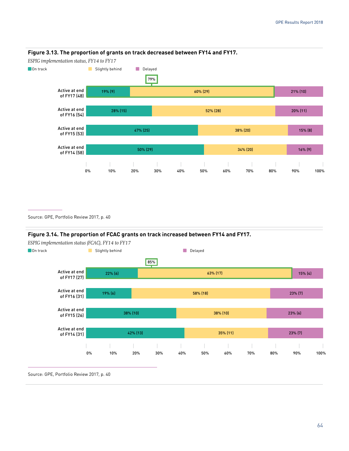

#### **Figure 3.13. The proportion of grants on track decreased between FY14 and FY17.**

Source: GPE, Portfolio Review 2017, p. 40

#### **Figure 3.14. The proportion of FCAC grants on track increased between FY14 and FY17.**



Source: GPE, Portfolio Review 2017, p. 40